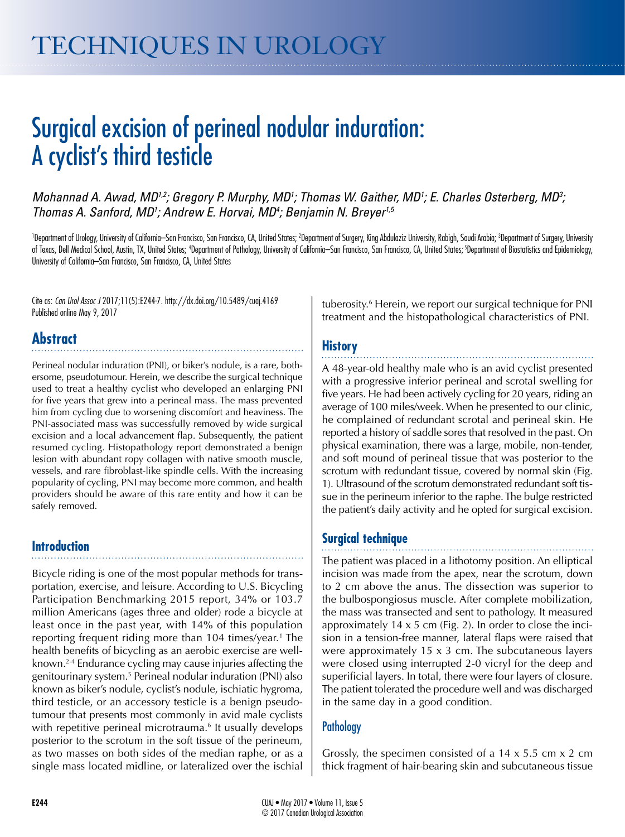# Surgical excision of perineal nodular induration: A cyclist's third testicle

*Mohannad A. Awad, MD<sup>1,2</sup>; Gregory P. Murphy, MD<sup>1</sup>; Thomas W. Gaither, MD<sup>1</sup>; E. Charles Osterberg, MD<sup>3</sup>; Thomas A. Sanford, MD1 ; Andrew E. Horvai, MD4 ; Benjamin N. Breyer1,5*

'Department of Urology, University of California—San Francisco, San Francisco, CA, United States; <sup>2</sup>Department of Surgery, King Abdulaziz University, Rabigh, Saudi Arabia; <sup>3</sup>Department of Surgery, University of Texas, Dell Medical School, Austin, TX, United States; <sup>4</sup>Department of Pathology, University of California—San Francisco, San Francisco, CA, United States; 5Department of Biostatistics and Epidemiology, University of California–San Francisco, San Francisco, CA, United States

Cite as: *Can Urol Assoc J* 2017;11(5):E244-7. http://dx.doi.org/10.5489/cuaj.4169 Published online May 9, 2017

## **Abstract**

Perineal nodular induration (PNI), or biker's nodule, is a rare, bothersome, pseudotumour. Herein, we describe the surgical technique used to treat a healthy cyclist who developed an enlarging PNI for five years that grew into a perineal mass. The mass prevented him from cycling due to worsening discomfort and heaviness. The PNI-associated mass was successfully removed by wide surgical excision and a local advancement flap. Subsequently, the patient resumed cycling. Histopathology report demonstrated a benign lesion with abundant ropy collagen with native smooth muscle, vessels, and rare fibroblast-like spindle cells. With the increasing popularity of cycling, PNI may become more common, and health providers should be aware of this rare entity and how it can be safely removed.

## **Introduction**

Bicycle riding is one of the most popular methods for transportation, exercise, and leisure. According to U.S. Bicycling Participation Benchmarking 2015 report, 34% or 103.7 million Americans (ages three and older) rode a bicycle at least once in the past year, with 14% of this population reporting frequent riding more than  $104$  times/year.<sup>1</sup> The health benefits of bicycling as an aerobic exercise are wellknown.2-4 Endurance cycling may cause injuries affecting the genitourinary system.5 Perineal nodular induration (PNI) also known as biker's nodule, cyclist's nodule, ischiatic hygroma, third testicle, or an accessory testicle is a benign pseudotumour that presents most commonly in avid male cyclists with repetitive perineal microtrauma.<sup>6</sup> It usually develops posterior to the scrotum in the soft tissue of the perineum, as two masses on both sides of the median raphe, or as a single mass located midline, or lateralized over the ischial

tuberosity.6 Herein, we report our surgical technique for PNI treatment and the histopathological characteristics of PNI.

## **History**

A 48-year-old healthy male who is an avid cyclist presented with a progressive inferior perineal and scrotal swelling for five years. He had been actively cycling for 20 years, riding an average of 100 miles/week. When he presented to our clinic, he complained of redundant scrotal and perineal skin. He reported a history of saddle sores that resolved in the past. On physical examination, there was a large, mobile, non-tender, and soft mound of perineal tissue that was posterior to the scrotum with redundant tissue, covered by normal skin (Fig. 1). Ultrasound of the scrotum demonstrated redundant soft tissue in the perineum inferior to the raphe. The bulge restricted the patient's daily activity and he opted for surgical excision.

## **Surgical technique**

The patient was placed in a lithotomy position. An elliptical incision was made from the apex, near the scrotum, down to 2 cm above the anus. The dissection was superior to the bulbospongiosus muscle. After complete mobilization, the mass was transected and sent to pathology. It measured approximately  $14 \times 5$  cm (Fig. 2). In order to close the incision in a tension-free manner, lateral flaps were raised that were approximately 15  $\times$  3 cm. The subcutaneous layers were closed using interrupted 2-0 vicryl for the deep and superificial layers. In total, there were four layers of closure. The patient tolerated the procedure well and was discharged in the same day in a good condition.

## **Pathology**

Grossly, the specimen consisted of a 14 x 5.5 cm x 2 cm thick fragment of hair-bearing skin and subcutaneous tissue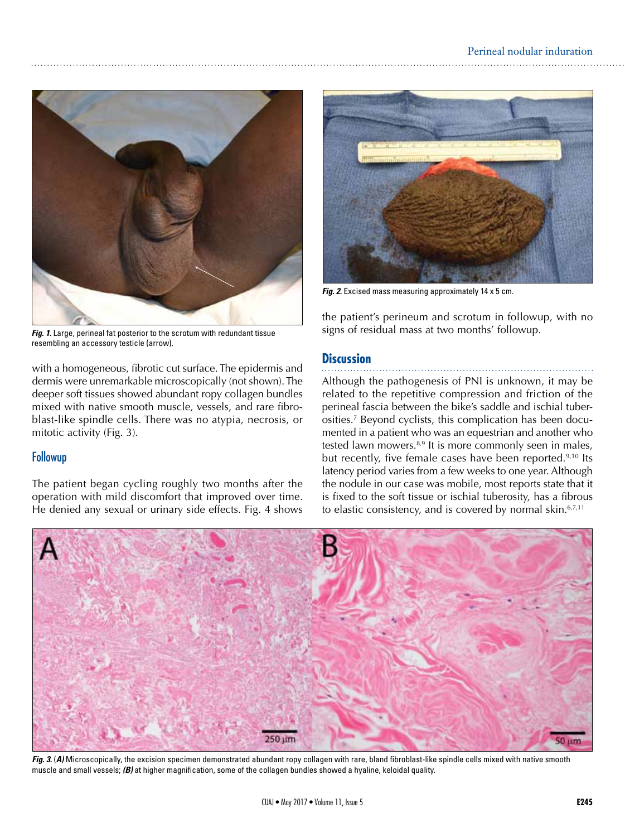

Fig. 1. Large, perineal fat posterior to the scrotum with redundant tissue resembling an accessory testicle (arrow).

with a homogeneous, fibrotic cut surface. The epidermis and dermis were unremarkable microscopically (not shown). The deeper soft tissues showed abundant ropy collagen bundles mixed with native smooth muscle, vessels, and rare fibroblast-like spindle cells. There was no atypia, necrosis, or mitotic activity (Fig. 3).

#### Followup

The patient began cycling roughly two months after the operation with mild discomfort that improved over time. He denied any sexual or urinary side effects. Fig. 4 shows



*Fig. 2.* Excised mass measuring approximately 14 x 5 cm.

the patient's perineum and scrotum in followup, with no signs of residual mass at two months' followup.

### **Discussion**

Although the pathogenesis of PNI is unknown, it may be related to the repetitive compression and friction of the perineal fascia between the bike's saddle and ischial tuberosities.7 Beyond cyclists, this complication has been documented in a patient who was an equestrian and another who tested lawn mowers. $8,9$  It is more commonly seen in males, but recently, five female cases have been reported.<sup>9,10</sup> Its latency period varies from a few weeks to one year. Although the nodule in our case was mobile, most reports state that it is fixed to the soft tissue or ischial tuberosity, has a fibrous to elastic consistency, and is covered by normal skin. $6,7,11$ 



Fig. 3. (A) Microscopically, the excision specimen demonstrated abundant ropy collagen with rare, bland fibroblast-like spindle cells mixed with native smooth muscle and small vessels; *(B)* at higher magnification, some of the collagen bundles showed a hyaline, keloidal quality.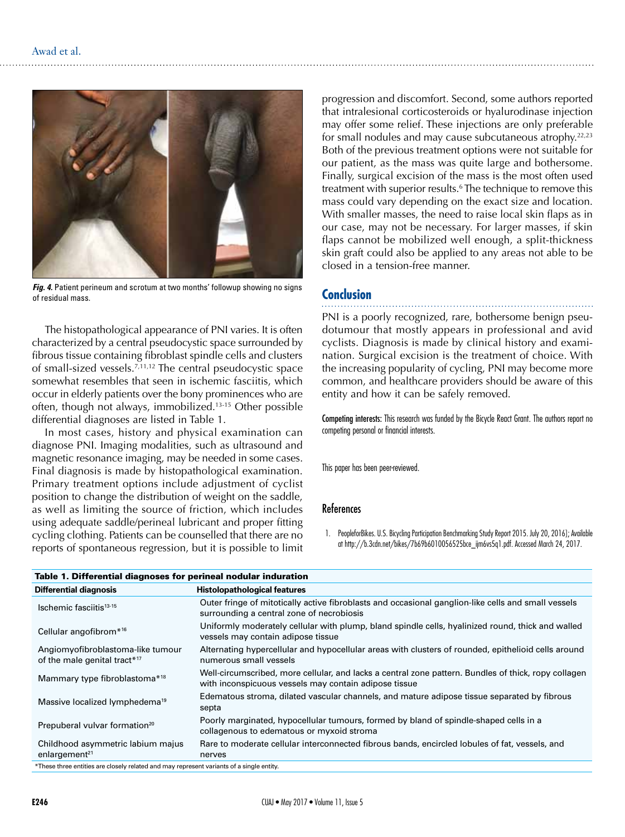

*Fig. 4.* Patient perineum and scrotum at two months' followup showing no signs of residual mass.

The histopathological appearance of PNI varies. It is often characterized by a central pseudocystic space surrounded by fibrous tissue containing fibroblast spindle cells and clusters of small-sized vessels. $7,11,12$  The central pseudocystic space somewhat resembles that seen in ischemic fasciitis, which occur in elderly patients over the bony prominences who are often, though not always, immobilized.13-15 Other possible differential diagnoses are listed in Table 1.

In most cases, history and physical examination can diagnose PNI. Imaging modalities, such as ultrasound and magnetic resonance imaging, may be needed in some cases. Final diagnosis is made by histopathological examination. Primary treatment options include adjustment of cyclist position to change the distribution of weight on the saddle, as well as limiting the source of friction, which includes using adequate saddle/perineal lubricant and proper fitting cycling clothing. Patients can be counselled that there are no reports of spontaneous regression, but it is possible to limit

progression and discomfort. Second, some authors reported that intralesional corticosteroids or hyalurodinase injection may offer some relief. These injections are only preferable for small nodules and may cause subcutaneous atrophy.22,23 Both of the previous treatment options were not suitable for our patient, as the mass was quite large and bothersome. Finally, surgical excision of the mass is the most often used treatment with superior results.6 The technique to remove this mass could vary depending on the exact size and location. With smaller masses, the need to raise local skin flaps as in our case, may not be necessary. For larger masses, if skin flaps cannot be mobilized well enough, a split-thickness skin graft could also be applied to any areas not able to be closed in a tension-free manner.

#### **Conclusion**

PNI is a poorly recognized, rare, bothersome benign pseudotumour that mostly appears in professional and avid cyclists. Diagnosis is made by clinical history and examination. Surgical excision is the treatment of choice. With the increasing popularity of cycling, PNI may become more common, and healthcare providers should be aware of this entity and how it can be safely removed.

Competing interests: This research was funded by the Bicycle React Grant. The authors report no competing personal or financial interests.

This paper has been peer-reviewed.

#### References

1. PeopleforBikes. U.S. Bicycling Participation Benchmarking Study Report 2015. July 20, 2016]; Available at http://b.3cdn.net/bikes/7b69b6010056525bce\_ijm6vs5q1.pdf. Accessed March 24, 2017.

| Table 1. Differential diagnoses for perineal nodular induration                          |                                                                                                                                                               |
|------------------------------------------------------------------------------------------|---------------------------------------------------------------------------------------------------------------------------------------------------------------|
| <b>Differential diagnosis</b>                                                            | <b>Histolopathological features</b>                                                                                                                           |
| Ischemic fasciitis <sup>13-15</sup>                                                      | Outer fringe of mitotically active fibroblasts and occasional ganglion-like cells and small vessels<br>surrounding a central zone of necrobiosis              |
| Cellular angofibrom* <sup>16</sup>                                                       | Uniformly moderately cellular with plump, bland spindle cells, hyalinized round, thick and walled<br>vessels may contain adipose tissue                       |
| Angiomyofibroblastoma-like tumour<br>of the male genital tract*17                        | Alternating hypercellular and hypocellular areas with clusters of rounded, epithelioid cells around<br>numerous small vessels                                 |
| Mammary type fibroblastoma*18                                                            | Well-circumscribed, more cellular, and lacks a central zone pattern. Bundles of thick, ropy collagen<br>with inconspicuous vessels may contain adipose tissue |
| Massive localized lymphedema <sup>19</sup>                                               | Edematous stroma, dilated vascular channels, and mature adipose tissue separated by fibrous<br>septa                                                          |
| Prepuberal vulvar formation <sup>20</sup>                                                | Poorly marginated, hypocellular tumours, formed by bland of spindle-shaped cells in a<br>collagenous to edematous or myxoid stroma                            |
| Childhood asymmetric labium majus<br>enlargement <sup>21</sup>                           | Rare to moderate cellular interconnected fibrous bands, encircled lobules of fat, vessels, and<br>nerves                                                      |
| *These three entities are closely related and may represent variants of a single entity. |                                                                                                                                                               |